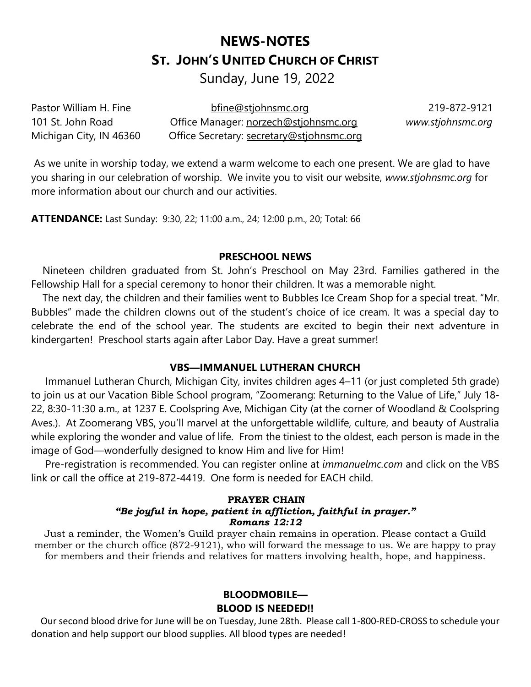# **NEWS-NOTES ST. JOHN'S UNITED CHURCH OF CHRIST**

Sunday, June 19, 2022

Pastor William H. Fine bfine@stjohnsmc.org 219-872-9121 101 St. John Road Office Manager: norzech@stjohnsmc.org *www.stjohnsmc.org*  Michigan City, IN 46360 Office Secretary: secretary@stjohnsmc.org

As we unite in worship today, we extend a warm welcome to each one present. We are glad to have you sharing in our celebration of worship. We invite you to visit our website, *www.stjohnsmc.org* for more information about our church and our activities.

**ATTENDANCE:** Last Sunday: 9:30, 22; 11:00 a.m., 24; 12:00 p.m., 20; Total: 66

## **PRESCHOOL NEWS**

 Nineteen children graduated from St. John's Preschool on May 23rd. Families gathered in the Fellowship Hall for a special ceremony to honor their children. It was a memorable night.

 The next day, the children and their families went to Bubbles Ice Cream Shop for a special treat. "Mr. Bubbles" made the children clowns out of the student's choice of ice cream. It was a special day to celebrate the end of the school year. The students are excited to begin their next adventure in kindergarten! Preschool starts again after Labor Day. Have a great summer!

## **VBS—IMMANUEL LUTHERAN CHURCH**

 Immanuel Lutheran Church, Michigan City, invites children ages 4–11 (or just completed 5th grade) to join us at our Vacation Bible School program, "Zoomerang: Returning to the Value of Life," July 18- 22, 8:30-11:30 a.m., at 1237 E. Coolspring Ave, Michigan City (at the corner of Woodland & Coolspring Aves.). At Zoomerang VBS, you'll marvel at the unforgettable wildlife, culture, and beauty of Australia while exploring the wonder and value of life. From the tiniest to the oldest, each person is made in the image of God—wonderfully designed to know Him and live for Him!

 Pre-registration is recommended. You can register online at *[immanuelmc.com](http://immanuelmc.com/)* and click on the VBS link or call the office at 219-872-4419. One form is needed for EACH child.

#### **PRAYER CHAIN** *"Be joyful in hope, patient in affliction, faithful in prayer." Romans 12:12*

Just a reminder, the Women's Guild prayer chain remains in operation. Please contact a Guild member or the church office (872-9121), who will forward the message to us. We are happy to pray for members and their friends and relatives for matters involving health, hope, and happiness.

## **BLOODMOBILE— BLOOD IS NEEDED!!**

 Our second blood drive for June will be on Tuesday, June 28th. Please call 1-800-RED-CROSS to schedule your donation and help support our blood supplies. All blood types are needed!